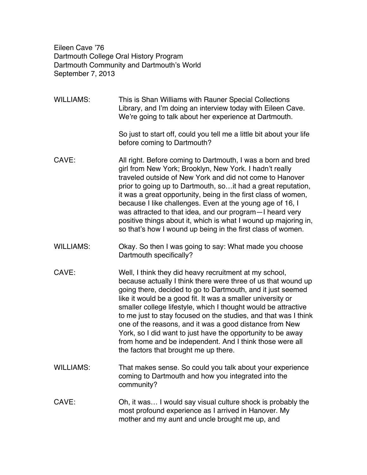Eileen Cave '76 Dartmouth College Oral History Program Dartmouth Community and Dartmouth's World September 7, 2013

WILLIAMS: This is Shan Williams with Rauner Special Collections Library, and I'm doing an interview today with Eileen Cave. We're going to talk about her experience at Dartmouth.

> So just to start off, could you tell me a little bit about your life before coming to Dartmouth?

- CAVE: All right. Before coming to Dartmouth, I was a born and bred girl from New York; Brooklyn, New York. I hadn't really traveled outside of New York and did not come to Hanover prior to going up to Dartmouth, so…it had a great reputation, it was a great opportunity, being in the first class of women, because I like challenges. Even at the young age of 16, I was attracted to that idea, and our program—I heard very positive things about it, which is what I wound up majoring in, so that's how I wound up being in the first class of women.
- WILLIAMS: Okay. So then I was going to say: What made you choose Dartmouth specifically?
- CAVE: Well, I think they did heavy recruitment at my school, because actually I think there were three of us that wound up going there, decided to go to Dartmouth, and it just seemed like it would be a good fit. It was a smaller university or smaller college lifestyle, which I thought would be attractive to me just to stay focused on the studies, and that was I think one of the reasons, and it was a good distance from New York, so I did want to just have the opportunity to be away from home and be independent. And I think those were all the factors that brought me up there.
- WILLIAMS: That makes sense. So could you talk about your experience coming to Dartmouth and how you integrated into the community?
- CAVE: Oh, it was… I would say visual culture shock is probably the most profound experience as I arrived in Hanover. My mother and my aunt and uncle brought me up, and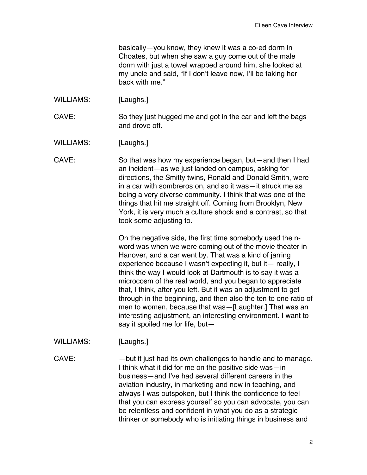basically—you know, they knew it was a co-ed dorm in Choates, but when she saw a guy come out of the male dorm with just a towel wrapped around him, she looked at my uncle and said, "If I don't leave now, I'll be taking her back with me."

- WILLIAMS: [Laughs.]
- CAVE: So they just hugged me and got in the car and left the bags and drove off.

WILLIAMS: [Laughs.]

CAVE: So that was how my experience began, but—and then I had an incident—as we just landed on campus, asking for directions, the Smitty twins, Ronald and Donald Smith, were in a car with sombreros on, and so it was—it struck me as being a very diverse community. I think that was one of the things that hit me straight off. Coming from Brooklyn, New York, it is very much a culture shock and a contrast, so that took some adjusting to.

> On the negative side, the first time somebody used the nword was when we were coming out of the movie theater in Hanover, and a car went by. That was a kind of jarring experience because I wasn't expecting it, but it— really, I think the way I would look at Dartmouth is to say it was a microcosm of the real world, and you began to appreciate that, I think, after you left. But it was an adjustment to get through in the beginning, and then also the ten to one ratio of men to women, because that was—[Laughter.] That was an interesting adjustment, an interesting environment. I want to say it spoiled me for life, but—

WILLIAMS: [Laughs.]

CAVE: —but it just had its own challenges to handle and to manage. I think what it did for me on the positive side was—in business—and I've had several different careers in the aviation industry, in marketing and now in teaching, and always I was outspoken, but I think the confidence to feel that you can express yourself so you can advocate, you can be relentless and confident in what you do as a strategic thinker or somebody who is initiating things in business and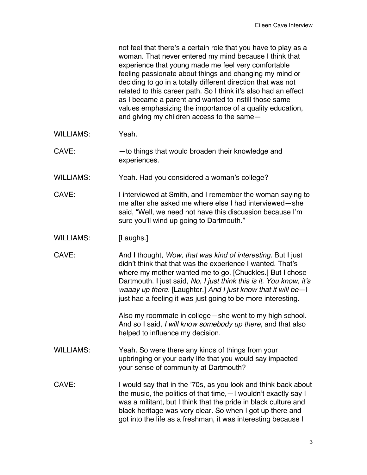not feel that there's a certain role that you have to play as a woman. That never entered my mind because I think that experience that young made me feel very comfortable feeling passionate about things and changing my mind or deciding to go in a totally different direction that was not related to this career path. So I think it's also had an effect as I became a parent and wanted to instill those same values emphasizing the importance of a quality education, and giving my children access to the same—

- WILLIAMS: Yeah.
- CAVE: —to things that would broaden their knowledge and experiences.
- WILLIAMS: Yeah. Had you considered a woman's college?
- CAVE: Interviewed at Smith, and I remember the woman saying to me after she asked me where else I had interviewed—she said, "Well, we need not have this discussion because I'm sure you'll wind up going to Dartmouth."
- WILLIAMS: [Laughs.]
- CAVE: And I thought, *Wow, that was kind of interesting.* But I just didn't think that that was the experience I wanted. That's where my mother wanted me to go. [Chuckles.] But I chose Dartmouth. I just said, *No, I just think this is it. You know, it's waaay up there.* [Laughter.] *And I just know that it will be*—I just had a feeling it was just going to be more interesting.

Also my roommate in college—she went to my high school. And so I said, *I will know somebody up there*, and that also helped to influence my decision.

- WILLIAMS: Yeah. So were there any kinds of things from your upbringing or your early life that you would say impacted your sense of community at Dartmouth?
- CAVE: I would say that in the '70s, as you look and think back about the music, the politics of that time,—I wouldn't exactly say I was a militant, but I think that the pride in black culture and black heritage was very clear. So when I got up there and got into the life as a freshman, it was interesting because I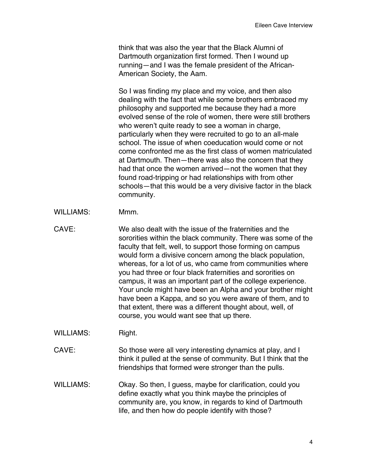think that was also the year that the Black Alumni of Dartmouth organization first formed. Then I wound up running—and I was the female president of the African-American Society, the Aam.

So I was finding my place and my voice, and then also dealing with the fact that while some brothers embraced my philosophy and supported me because they had a more evolved sense of the role of women, there were still brothers who weren't quite ready to see a woman in charge, particularly when they were recruited to go to an all-male school. The issue of when coeducation would come or not come confronted me as the first class of women matriculated at Dartmouth. Then—there was also the concern that they had that once the women arrived—not the women that they found road-tripping or had relationships with from other schools—that this would be a very divisive factor in the black community.

- WILLIAMS: Mmm.
- CAVE: We also dealt with the issue of the fraternities and the sororities within the black community. There was some of the faculty that felt, well, to support those forming on campus would form a divisive concern among the black population, whereas, for a lot of us, who came from communities where you had three or four black fraternities and sororities on campus, it was an important part of the college experience. Your uncle might have been an Alpha and your brother might have been a Kappa, and so you were aware of them, and to that extent, there was a different thought about, well, of course, you would want see that up there.
- WILLIAMS: Right.
- CAVE: So those were all very interesting dynamics at play, and I think it pulled at the sense of community. But I think that the friendships that formed were stronger than the pulls.
- WILLIAMS: Okay. So then, I guess, maybe for clarification, could you define exactly what you think maybe the principles of community are, you know, in regards to kind of Dartmouth life, and then how do people identify with those?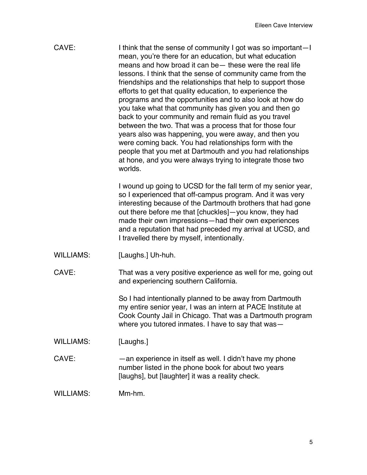| CAVE:<br>I think that the sense of community I got was so important-I<br>mean, you're there for an education, but what education<br>means and how broad it can be - these were the real life<br>lessons. I think that the sense of community came from the<br>friendships and the relationships that help to support those<br>efforts to get that quality education, to experience the<br>programs and the opportunities and to also look at how do<br>you take what that community has given you and then go<br>back to your community and remain fluid as you travel<br>between the two. That was a process that for those four<br>years also was happening, you were away, and then you<br>were coming back. You had relationships form with the<br>people that you met at Dartmouth and you had relationships<br>at hone, and you were always trying to integrate those two<br>worlds. |  |
|--------------------------------------------------------------------------------------------------------------------------------------------------------------------------------------------------------------------------------------------------------------------------------------------------------------------------------------------------------------------------------------------------------------------------------------------------------------------------------------------------------------------------------------------------------------------------------------------------------------------------------------------------------------------------------------------------------------------------------------------------------------------------------------------------------------------------------------------------------------------------------------------|--|
|--------------------------------------------------------------------------------------------------------------------------------------------------------------------------------------------------------------------------------------------------------------------------------------------------------------------------------------------------------------------------------------------------------------------------------------------------------------------------------------------------------------------------------------------------------------------------------------------------------------------------------------------------------------------------------------------------------------------------------------------------------------------------------------------------------------------------------------------------------------------------------------------|--|

I wound up going to UCSD for the fall term of my senior year, so I experienced that off-campus program. And it was very interesting because of the Dartmouth brothers that had gone out there before me that [chuckles]—you know, they had made their own impressions—had their own experiences and a reputation that had preceded my arrival at UCSD, and I travelled there by myself, intentionally.

WILLIAMS: [Laughs.] Uh-huh.

CAVE: That was a very positive experience as well for me, going out and experiencing southern California.

> So I had intentionally planned to be away from Dartmouth my entire senior year, I was an intern at PACE Institute at Cook County Jail in Chicago. That was a Dartmouth program where you tutored inmates. I have to say that was—

WILLIAMS: [Laughs.]

CAVE: —an experience in itself as well. I didn't have my phone number listed in the phone book for about two years [laughs], but [laughter] it was a reality check.

WILLIAMS: Mm-hm.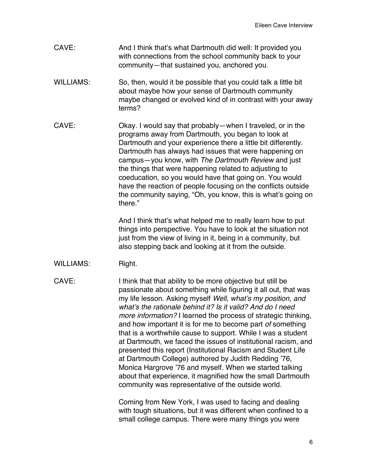- CAVE: And I think that's what Dartmouth did well: It provided you with connections from the school community back to your community—that sustained you, anchored you.
- WILLIAMS: So, then, would it be possible that you could talk a little bit about maybe how your sense of Dartmouth community maybe changed or evolved kind of in contrast with your away terms?
- CAVE: Okay. I would say that probably—when I traveled, or in the programs away from Dartmouth, you began to look at Dartmouth and your experience there a little bit differently. Dartmouth has always had issues that were happening on campus—you know, with *The Dartmouth Review* and just the things that were happening related to adjusting to coeducation, so you would have that going on. You would have the reaction of people focusing on the conflicts outside the community saying, "Oh, you know, this is what's going on there."

And I think that's what helped me to really learn how to put things into perspective. You have to look at the situation not just from the view of living in it, being in a community, but also stepping back and looking at it from the outside.

WILLIAMS: Right.

CAVE: I think that that ability to be more objective but still be passionate about something while figuring it all out, that was my life lesson. Asking myself *Well, what's my position, and what's the rationale behind it? Is it valid? And do I need more information?* I learned the process of strategic thinking, and how important it is for me to become part *of* something that is a worthwhile cause to support. While I was a student at Dartmouth, we faced the issues of institutional racism, and presented this report (Institutional Racism and Student Life at Dartmouth College) authored by Judith Redding '76, Monica Hargrove '76 and myself. When we started talking about that experience, it magnified how the small Dartmouth community was representative of the outside world.

> Coming from New York, I was used to facing and dealing with tough situations, but it was different when confined to a small college campus. There were many things you were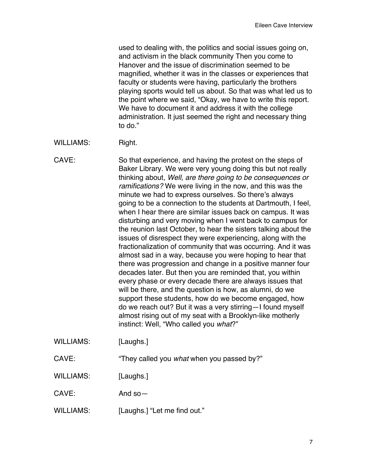used to dealing with, the politics and social issues going on, and activism in the black community Then you come to Hanover and the issue of discrimination seemed to be magnified, whether it was in the classes or experiences that faculty or students were having, particularly the brothers playing sports would tell us about. So that was what led us to the point where we said, "Okay, we have to write this report. We have to document it and address it with the college administration. It just seemed the right and necessary thing to do."

WILLIAMS: Right.

CAVE: So that experience, and having the protest on the steps of Baker Library. We were very young doing this but not really thinking about, *Well, are there going to be consequences or ramifications?* We were living in the now, and this was the minute we had to express ourselves. So there's always going to be a connection to the students at Dartmouth, I feel, when I hear there are similar issues back on campus. It was disturbing and very moving when I went back to campus for the reunion last October, to hear the sisters talking about the issues of disrespect they were experiencing, along with the fractionalization of community that was occurring. And it was almost sad in a way, because you were hoping to hear that there was progression and change in a positive manner four decades later. But then you are reminded that, you within every phase or every decade there are always issues that will be there, and the question is how, as alumni, do we support these students, how do we become engaged, how do we reach out? But it was a very stirring—I found myself almost rising out of my seat with a Brooklyn-like motherly instinct: Well, "Who called you *what*?"

WILLIAMS: [Laughs.]

CAVE: "They called you *what* when you passed by?"

WILLIAMS: [Laughs.]

CAVE: And so —

WILLIAMS: [Laughs.] "Let me find out."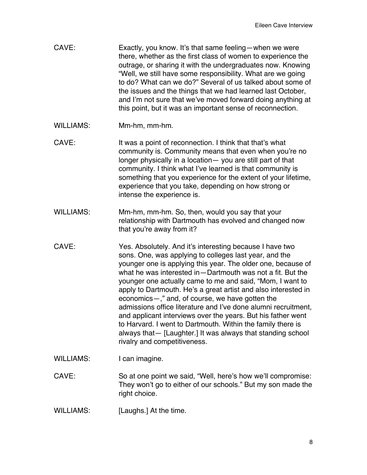- CAVE: Exactly, you know. It's that same feeling—when we were there, whether as the first class of women to experience the outrage, or sharing it with the undergraduates now. Knowing "Well, we still have some responsibility. What are we going to do? What can we do?" Several of us talked about some of the issues and the things that we had learned last October, and I'm not sure that we've moved forward doing anything at this point, but it was an important sense of reconnection.
- WILLIAMS: Mm-hm, mm-hm.
- CAVE: It was a point of reconnection. I think that that's what community is. Community means that even when you're no longer physically in a location— you are still part of that community. I think what I've learned is that community is something that you experience for the extent of your lifetime, experience that you take, depending on how strong or intense the experience is.
- WILLIAMS: Mm-hm, mm-hm. So, then, would you say that your relationship with Dartmouth has evolved and changed now that you're away from it?
- CAVE: Yes. Absolutely. And it's interesting because I have two sons. One, was applying to colleges last year, and the younger one is applying this year. The older one, because of what he was interested in—Dartmouth was not a fit. But the younger one actually came to me and said, "Mom, I want to apply to Dartmouth. He's a great artist and also interested in economics—," and, of course, we have gotten the admissions office literature and I've done alumni recruitment, and applicant interviews over the years. But his father went to Harvard. I went to Dartmouth. Within the family there is always that— [Laughter.] It was always that standing school rivalry and competitiveness.
- WILLIAMS: I can imagine.

CAVE: So at one point we said, "Well, here's how we'll compromise: They won't go to either of our schools." But my son made the right choice.

WILLIAMS: [Laughs.] At the time.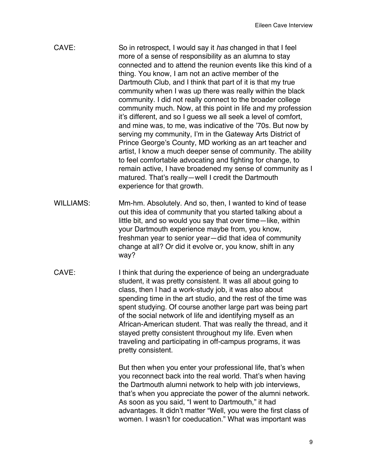| CAVE:            | So in retrospect, I would say it has changed in that I feel<br>more of a sense of responsibility as an alumna to stay<br>connected and to attend the reunion events like this kind of a<br>thing. You know, I am not an active member of the<br>Dartmouth Club, and I think that part of it is that my true<br>community when I was up there was really within the black<br>community. I did not really connect to the broader college<br>community much. Now, at this point in life and my profession<br>it's different, and so I guess we all seek a level of comfort,<br>and mine was, to me, was indicative of the '70s. But now by<br>serving my community, I'm in the Gateway Arts District of<br>Prince George's County, MD working as an art teacher and<br>artist, I know a much deeper sense of community. The ability<br>to feel comfortable advocating and fighting for change, to<br>remain active, I have broadened my sense of community as I<br>matured. That's really-well I credit the Dartmouth<br>experience for that growth. |
|------------------|---------------------------------------------------------------------------------------------------------------------------------------------------------------------------------------------------------------------------------------------------------------------------------------------------------------------------------------------------------------------------------------------------------------------------------------------------------------------------------------------------------------------------------------------------------------------------------------------------------------------------------------------------------------------------------------------------------------------------------------------------------------------------------------------------------------------------------------------------------------------------------------------------------------------------------------------------------------------------------------------------------------------------------------------------|
| <b>WILLIAMS:</b> | Mm-hm. Absolutely. And so, then, I wanted to kind of tease<br>out this idea of community that you started talking about a<br>little bit, and so would you say that over time—like, within<br>your Dartmouth experience maybe from, you know,<br>freshman year to senior year-did that idea of community<br>change at all? Or did it evolve or, you know, shift in any<br>way?                                                                                                                                                                                                                                                                                                                                                                                                                                                                                                                                                                                                                                                                     |
| CAVE:            | I think that during the experience of being an undergraduate<br>student, it was pretty consistent. It was all about going to<br>class, then I had a work-study job, it was also about<br>spending time in the art studio, and the rest of the time was<br>spent studying. Of course another large part was being part<br>of the social network of life and identifying myself as an<br>African-American student. That was really the thread, and it<br>stayed pretty consistent throughout my life. Even when<br>traveling and participating in off-campus programs, it was<br>pretty consistent.<br>But then when you enter your professional life, that's when                                                                                                                                                                                                                                                                                                                                                                                  |
|                  | you reconnect back into the real world. That's when having<br>the Dartmouth alumni network to help with job interviews,                                                                                                                                                                                                                                                                                                                                                                                                                                                                                                                                                                                                                                                                                                                                                                                                                                                                                                                           |

that's when you appreciate the power of the alumni network. As soon as you said, "I went to Dartmouth," it had advantages. It didn't matter "Well, you were the first class of women. I wasn't for coeducation." What was important was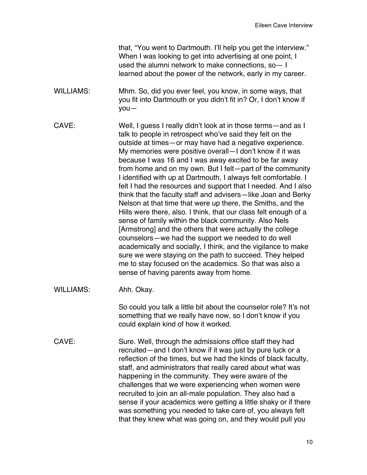that, "You went to Dartmouth. I'll help you get the interview." When I was looking to get into advertising at one point, I used the alumni network to make connections, so— I learned about the power of the network, early in my career.

- WILLIAMS: Mhm. So, did you ever feel, you know, in some ways, that you fit into Dartmouth or you didn't fit in? Or, I don't know if you—
- CAVE: Well, I guess I really didn't look at in those terms—and as I talk to people in retrospect who've said they felt on the outside at times—or may have had a negative experience. My memories were positive overall—I don't know if it was because I was 16 and I was away excited to be far away from home and on my own. But I felt—part of the community I identified with up at Dartmouth, I always felt comfortable. I felt I had the resources and support that I needed. And I also think that the faculty staff and advisers—like Joan and Berky Nelson at that time that were up there, the Smiths, and the Hills were there, also. I think, that our class felt enough of a sense of family within the black community. Also Nels [Armstrong] and the others that were actually the college counselors—we had the support we needed to do well academically and socially, I think, and the vigilance to make sure we were staying on the path to succeed. They helped me to stay focused on the academics. So that was also a sense of having parents away from home.
- WILLIAMS: Ahh. Okay.

So could you talk a little bit about the counselor role? It's not something that we really have now, so I don't know if you could explain kind of how it worked.

CAVE: Sure. Well, through the admissions office staff they had recruited—and I don't know if it was just by pure luck or a reflection of the times, but we had the kinds of black faculty, staff, and administrators that really cared about what was happening in the community. They were aware of the challenges that we were experiencing when women were recruited to join an all-male population. They also had a sense if your academics were getting a little shaky or if there was something you needed to take care of, you always felt that they knew what was going on, and they would pull you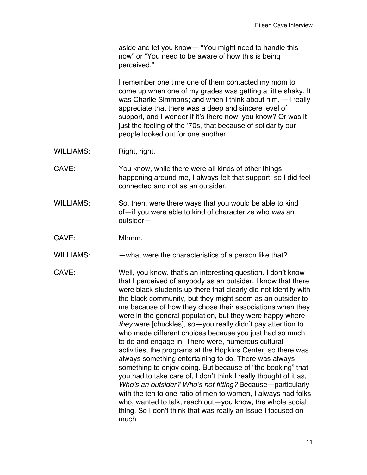aside and let you know— "You might need to handle this now" or "You need to be aware of how this is being perceived."

I remember one time one of them contacted my mom to come up when one of my grades was getting a little shaky. It was Charlie Simmons; and when I think about him, —I really appreciate that there was a deep and sincere level of support, and I wonder if it's there now, you know? Or was it just the feeling of the '70s, that because of solidarity our people looked out for one another.

- WILLIAMS: Right, right.
- CAVE: You know, while there were all kinds of other things happening around me, I always felt that support, so I did feel connected and not as an outsider.
- WILLIAMS: So, then, were there ways that you would be able to kind of—if you were able to kind of characterize who *was* an outsider—
- CAVE: Mhmm.
- WILLIAMS: — what were the characteristics of a person like that?
- CAVE: Well, you know, that's an interesting question. I don't know that I perceived of anybody as an outsider. I know that there were black students up there that clearly did not identify with the black community, but they might seem as an outsider to me because of how they chose their associations when they were in the general population, but they were happy where *they* were [chuckles], so—you really didn't pay attention to who made different choices because you just had so much to do and engage in. There were, numerous cultural activities, the programs at the Hopkins Center, so there was always something entertaining to do. There was always something to enjoy doing. But because of "the booking" that you had to take care of, I don't think I really thought of it as, *Who's an outsider? Who's not fitting?* Because—particularly with the ten to one ratio of men to women, I always had folks who, wanted to talk, reach out—you know, the whole social thing. So I don't think that was really an issue I focused on much.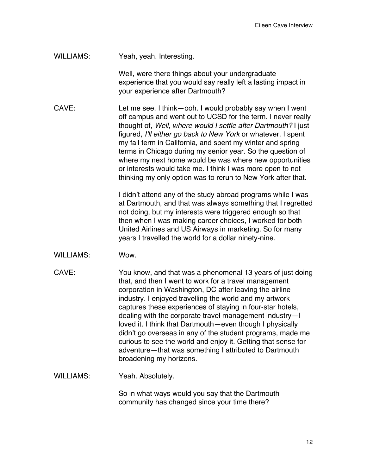WILLIAMS: Yeah, yeah. Interesting.

Well, were there things about your undergraduate experience that you would say really left a lasting impact in your experience after Dartmouth?

CAVE: Let me see. I think—ooh. I would probably say when I went off campus and went out to UCSD for the term. I never really thought of, *Well, where would I settle after Dartmouth?* I just figured, *I'll either go back to New York* or whatever. I spent my fall term in California, and spent my winter and spring terms in Chicago during my senior year. So the question of where my next home would be was where new opportunities or interests would take me. I think I was more open to not thinking my only option was to rerun to New York after that.

> I didn't attend any of the study abroad programs while I was at Dartmouth, and that was always something that I regretted not doing, but my interests were triggered enough so that then when I was making career choices, I worked for both United Airlines and US Airways in marketing. So for many years I travelled the world for a dollar ninety-nine.

- WILLIAMS: Wow.
- CAVE: You know, and that was a phenomenal 13 years of just doing that, and then I went to work for a travel management corporation in Washington, DC after leaving the airline industry. I enjoyed travelling the world and my artwork captures these experiences of staying in four-star hotels, dealing with the corporate travel management industry—I loved it. I think that Dartmouth—even though I physically didn't go overseas in any of the student programs, made me curious to see the world and enjoy it. Getting that sense for adventure—that was something I attributed to Dartmouth broadening my horizons.
- WILLIAMS: Yeah. Absolutely.

So in what ways would you say that the Dartmouth community has changed since your time there?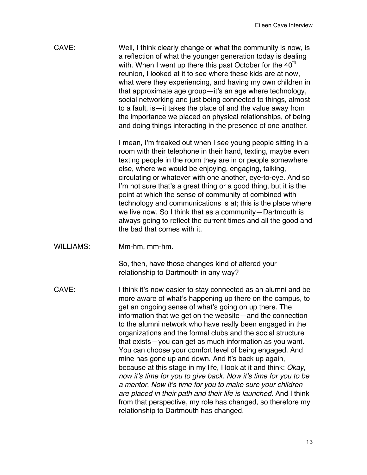| Well, I think clearly change or what the community is now, is<br>a reflection of what the younger generation today is dealing |
|-------------------------------------------------------------------------------------------------------------------------------|
| with. When I went up there this past October for the 40 <sup>th</sup>                                                         |
| reunion, I looked at it to see where these kids are at now.                                                                   |
| what were they experiencing, and having my own children in                                                                    |
| that approximate age group-it's an age where technology,                                                                      |
| social networking and just being connected to things, almost                                                                  |
| to a fault, is — it takes the place of and the value away from                                                                |
| the importance we placed on physical relationships, of being<br>and doing things interacting in the presence of one another.  |
|                                                                                                                               |

I mean, I'm freaked out when I see young people sitting in a room with their telephone in their hand, texting, maybe even texting people in the room they are in or people somewhere else, where we would be enjoying, engaging, talking, circulating or whatever with one another, eye-to-eye. And so I'm not sure that's a great thing or a good thing, but it is the point at which the sense of community of combined with technology and communications is at; this is the place where we live now. So I think that as a community—Dartmouth is always going to reflect the current times and all the good and the bad that comes with it.

WILLIAMS: Mm-hm, mm-hm.

So, then, have those changes kind of altered your relationship to Dartmouth in any way?

CAVE: I think it's now easier to stay connected as an alumni and be more aware of what's happening up there on the campus, to get an ongoing sense of what's going on up there. The information that we get on the website—and the connection to the alumni network who have really been engaged in the organizations and the formal clubs and the social structure that exists—you can get as much information as you want. You can choose your comfort level of being engaged. And mine has gone up and down. And it's back up again, because at this stage in my life, I look at it and think: *Okay, now it's time for you to give back. Now it's time for you to be a mentor. Now it's time for you to make sure your children are placed in their path and their life is launched.* And I think from that perspective, my role has changed, so therefore my relationship to Dartmouth has changed.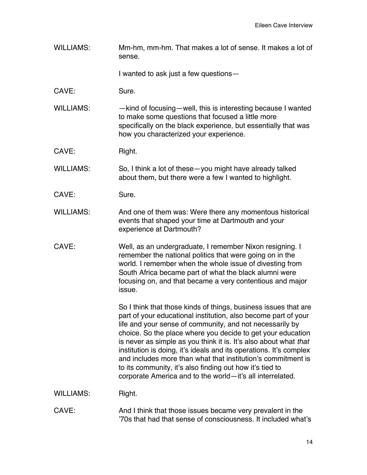WILLIAMS: Mm-hm, mm-hm. That makes a lot of sense. It makes a lot of sense.

I wanted to ask just a few questions—

- CAVE: Sure.
- WILLIAMS: — kind of focusing—well, this is interesting because I wanted to make some questions that focused a little more specifically on the black experience, but essentially that was how you characterized your experience.
- CAVE: Right.

WILLIAMS: So, I think a lot of these-you might have already talked about them, but there were a few I wanted to highlight.

- CAVE: Sure.
- WILLIAMS: And one of them was: Were there any momentous historical events that shaped your time at Dartmouth and your experience at Dartmouth?
- CAVE: Well, as an undergraduate, I remember Nixon resigning. I remember the national politics that were going on in the world. I remember when the whole issue of divesting from South Africa became part of what the black alumni were focusing on, and that became a very contentious and major issue.

So I think that those kinds of things, business issues that are part of your educational institution, also become part of your life and your sense of community, and not necessarily by choice. So the place where you decide to get your education is never as simple as you think it is. It's also about what *that*  institution is doing, it's ideals and its operations. It's complex and includes more than what that institution's commitment is to its community, it's also finding out how it's tied to corporate America and to the world—it's all interrelated.

WILLIAMS: Right.

CAVE: And I think that those issues became very prevalent in the '70s that had that sense of consciousness. It included what's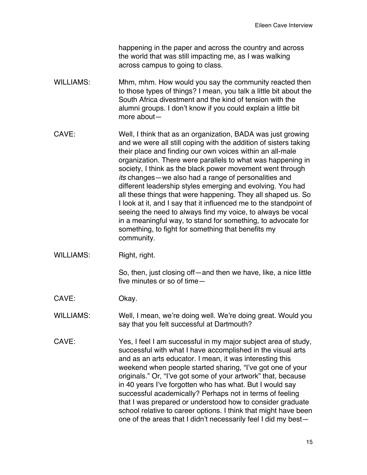happening in the paper and across the country and across the world that was still impacting me, as I was walking across campus to going to class.

- WILLIAMS: Mhm, mhm. How would you say the community reacted then to those types of things? I mean, you talk a little bit about the South Africa divestment and the kind of tension with the alumni groups. I don't know if you could explain a little bit more about—
- CAVE: Well, I think that as an organization, BADA was just growing and we were all still coping with the addition of sisters taking their place and finding our own voices within an all-male organization. There were parallels to what was happening in society, I think as the black power movement went through *its* changes—we also had a range of personalities and different leadership styles emerging and evolving. You had all these things that were happening. They all shaped us. So I look at it, and I say that it influenced me to the standpoint of seeing the need to always find my voice, to always be vocal in a meaningful way, to stand for something, to advocate for something, to fight for something that benefits my community.
- WILLIAMS: Right, right.

So, then, just closing off—and then we have, like, a nice little five minutes or so of time—

- CAVE: Okay.
- WILLIAMS: Well, I mean, we're doing well. We're doing great. Would you say that you felt successful at Dartmouth?
- CAVE: Yes, I feel I am successful in my major subject area of study, successful with what I have accomplished in the visual arts and as an arts educator. I mean, it was interesting this weekend when people started sharing, "I've got one of your originals." Or, "I've got some of your artwork" that, because in 40 years I've forgotten who has what. But I would say successful academically? Perhaps not in terms of feeling that I was prepared or understood how to consider graduate school relative to career options. I think that might have been one of the areas that I didn't necessarily feel I did my best—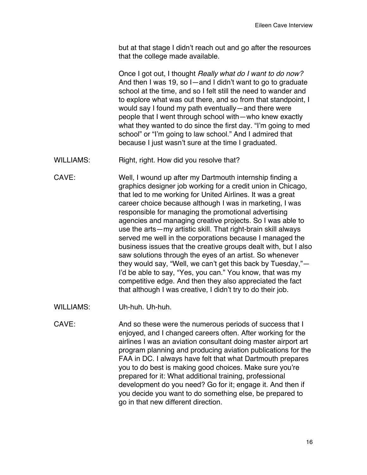but at that stage I didn't reach out and go after the resources that the college made available.

Once I got out, I thought *Really what do I want to do now?* And then I was 19, so I—and I didn't want to go to graduate school at the time, and so I felt still the need to wander and to explore what was out there, and so from that standpoint, I would say I found my path eventually—and there were people that I went through school with—who knew exactly what they wanted to do since the first day. "I'm going to med school" or "I'm going to law school." And I admired that because I just wasn't sure at the time I graduated.

- WILLIAMS: Right, right. How did you resolve that?
- CAVE: Well, I wound up after my Dartmouth internship finding a graphics designer job working for a credit union in Chicago, that led to me working for United Airlines. It was a great career choice because although I was in marketing, I was responsible for managing the promotional advertising agencies and managing creative projects. So I was able to use the arts—my artistic skill. That right-brain skill always served me well in the corporations because I managed the business issues that the creative groups dealt with, but I also saw solutions through the eyes of an artist. So whenever they would say, "Well, we can't get this back by Tuesday,"— I'd be able to say, "Yes, you can." You know, that was my competitive edge. And then they also appreciated the fact that although I was creative, I didn't try to do their job.
- WILLIAMS: Uh-huh. Uh-huh.
- CAVE: And so these were the numerous periods of success that I enjoyed, and I changed careers often. After working for the airlines I was an aviation consultant doing master airport art program planning and producing aviation publications for the FAA in DC. I always have felt that what Dartmouth prepares you to do best is making good choices. Make sure you're prepared for it: What additional training, professional development do you need? Go for it; engage it. And then if you decide you want to do something else, be prepared to go in that new different direction.